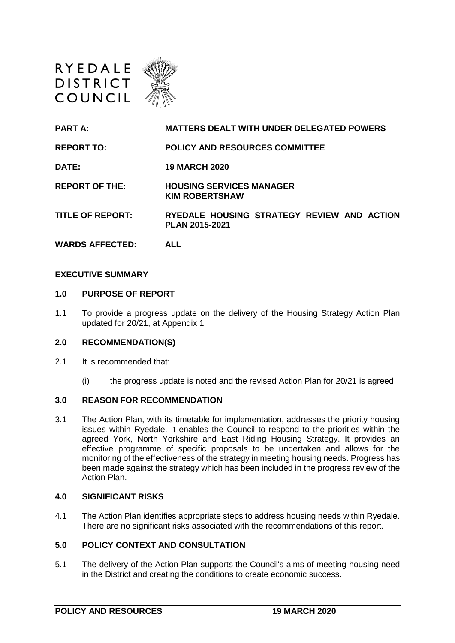



#### **EXECUTIVE SUMMARY**

#### **1.0 PURPOSE OF REPORT**

1.1 To provide a progress update on the delivery of the Housing Strategy Action Plan updated for 20/21, at Appendix 1

### **2.0 RECOMMENDATION(S)**

- 2.1 It is recommended that:
	- (i) the progress update is noted and the revised Action Plan for 20/21 is agreed

#### **3.0 REASON FOR RECOMMENDATION**

3.1 The Action Plan, with its timetable for implementation, addresses the priority housing issues within Ryedale. It enables the Council to respond to the priorities within the agreed York, North Yorkshire and East Riding Housing Strategy. It provides an effective programme of specific proposals to be undertaken and allows for the monitoring of the effectiveness of the strategy in meeting housing needs. Progress has been made against the strategy which has been included in the progress review of the Action Plan.

#### **4.0 SIGNIFICANT RISKS**

4.1 The Action Plan identifies appropriate steps to address housing needs within Ryedale. There are no significant risks associated with the recommendations of this report.

#### **5.0 POLICY CONTEXT AND CONSULTATION**

5.1 The delivery of the Action Plan supports the Council's aims of meeting housing need in the District and creating the conditions to create economic success.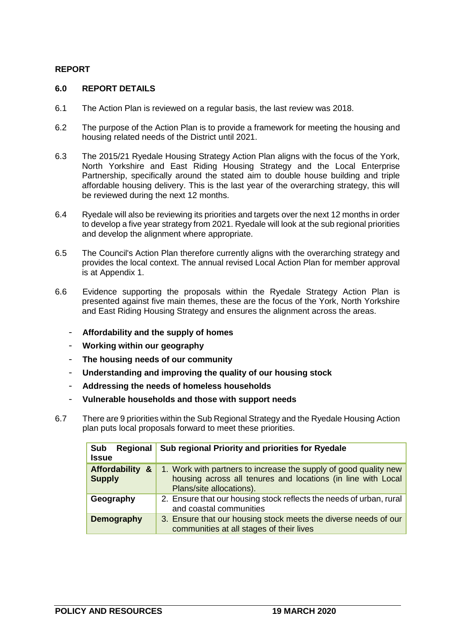## **REPORT**

### **6.0 REPORT DETAILS**

- 6.1 The Action Plan is reviewed on a regular basis, the last review was 2018.
- 6.2 The purpose of the Action Plan is to provide a framework for meeting the housing and housing related needs of the District until 2021.
- 6.3 The 2015/21 Ryedale Housing Strategy Action Plan aligns with the focus of the York, North Yorkshire and East Riding Housing Strategy and the Local Enterprise Partnership, specifically around the stated aim to double house building and triple affordable housing delivery. This is the last year of the overarching strategy, this will be reviewed during the next 12 months.
- 6.4 Ryedale will also be reviewing its priorities and targets over the next 12 months in order to develop a five year strategy from 2021. Ryedale will look at the sub regional priorities and develop the alignment where appropriate.
- 6.5 The Council's Action Plan therefore currently aligns with the overarching strategy and provides the local context. The annual revised Local Action Plan for member approval is at Appendix 1.
- 6.6 Evidence supporting the proposals within the Ryedale Strategy Action Plan is presented against five main themes, these are the focus of the York, North Yorkshire and East Riding Housing Strategy and ensures the alignment across the areas.
	- **Affordability and the supply of homes**
	- **Working within our geography**
	- **The housing needs of our community**
	- **Understanding and improving the quality of our housing stock**
	- **Addressing the needs of homeless households**
	- **Vulnerable households and those with support needs**
- 6.7 There are 9 priorities within the Sub Regional Strategy and the Ryedale Housing Action plan puts local proposals forward to meet these priorities.

| <b>Sub</b><br>Regional<br><b>Issue</b>                | Sub regional Priority and priorities for Ryedale                                                                                                             |
|-------------------------------------------------------|--------------------------------------------------------------------------------------------------------------------------------------------------------------|
| <b>Affordability</b><br><u>&amp;</u><br><b>Supply</b> | 1. Work with partners to increase the supply of good quality new<br>housing across all tenures and locations (in line with Local<br>Plans/site allocations). |
| Geography                                             | 2. Ensure that our housing stock reflects the needs of urban, rural<br>and coastal communities                                                               |
| <b>Demography</b>                                     | 3. Ensure that our housing stock meets the diverse needs of our<br>communities at all stages of their lives                                                  |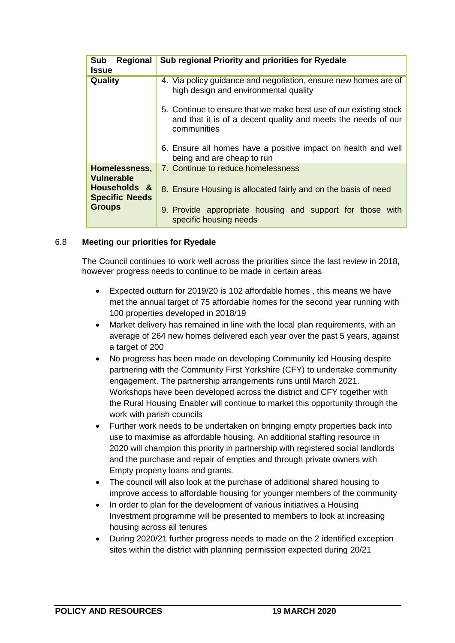| <b>Sub</b><br>Regional                | Sub regional Priority and priorities for Ryedale                                                                                                  |
|---------------------------------------|---------------------------------------------------------------------------------------------------------------------------------------------------|
| <b>Issue</b>                          |                                                                                                                                                   |
| <b>Quality</b>                        | 4. Via policy guidance and negotiation, ensure new homes are of<br>high design and environmental quality                                          |
|                                       | 5. Continue to ensure that we make best use of our existing stock<br>and that it is of a decent quality and meets the needs of our<br>communities |
|                                       | 6. Ensure all homes have a positive impact on health and well<br>being and are cheap to run                                                       |
| Homelessness,<br><b>Vulnerable</b>    | 7. Continue to reduce homelessness                                                                                                                |
| Households &<br><b>Specific Needs</b> | 8. Ensure Housing is allocated fairly and on the basis of need                                                                                    |
| <b>Groups</b>                         | 9. Provide appropriate housing and support for those with<br>specific housing needs                                                               |

### 6.8 **Meeting our priorities for Ryedale**

The Council continues to work well across the priorities since the last review in 2018, however progress needs to continue to be made in certain areas

- Expected outturn for 2019/20 is 102 affordable homes , this means we have met the annual target of 75 affordable homes for the second year running with 100 properties developed in 2018/19
- Market delivery has remained in line with the local plan requirements, with an average of 264 new homes delivered each year over the past 5 years, against a target of 200
- No progress has been made on developing Community led Housing despite partnering with the Community First Yorkshire (CFY) to undertake community engagement. The partnership arrangements runs until March 2021. Workshops have been developed across the district and CFY together with the Rural Housing Enabler will continue to market this opportunity through the work with parish councils
- Further work needs to be undertaken on bringing empty properties back into use to maximise as affordable housing. An additional staffing resource in 2020 will champion this priority in partnership with registered social landlords and the purchase and repair of empties and through private owners with Empty property loans and grants.
- The council will also look at the purchase of additional shared housing to improve access to affordable housing for younger members of the community
- In order to plan for the development of various initiatives a Housing Investment programme will be presented to members to look at increasing housing across all tenures
- During 2020/21 further progress needs to made on the 2 identified exception sites within the district with planning permission expected during 20/21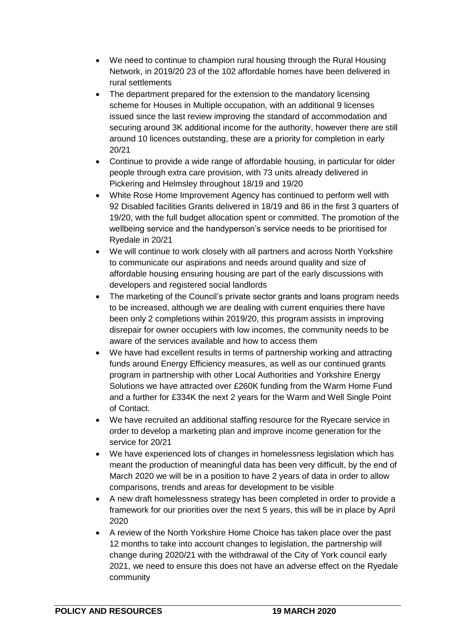- We need to continue to champion rural housing through the Rural Housing Network, in 2019/20 23 of the 102 affordable homes have been delivered in rural settlements
- The department prepared for the extension to the mandatory licensing scheme for Houses in Multiple occupation, with an additional 9 licenses issued since the last review improving the standard of accommodation and securing around 3K additional income for the authority, however there are still around 10 licences outstanding, these are a priority for completion in early 20/21
- Continue to provide a wide range of affordable housing, in particular for older people through extra care provision, with 73 units already delivered in Pickering and Helmsley throughout 18/19 and 19/20
- White Rose Home Improvement Agency has continued to perform well with 92 Disabled facilities Grants delivered in 18/19 and 86 in the first 3 quarters of 19/20, with the full budget allocation spent or committed. The promotion of the wellbeing service and the handyperson's service needs to be prioritised for Ryedale in 20/21
- We will continue to work closely with all partners and across North Yorkshire to communicate our aspirations and needs around quality and size of affordable housing ensuring housing are part of the early discussions with developers and registered social landlords
- The marketing of the Council's private sector grants and loans program needs to be increased, although we are dealing with current enquiries there have been only 2 completions within 2019/20, this program assists in improving disrepair for owner occupiers with low incomes, the community needs to be aware of the services available and how to access them
- We have had excellent results in terms of partnership working and attracting funds around Energy Efficiency measures, as well as our continued grants program in partnership with other Local Authorities and Yorkshire Energy Solutions we have attracted over £260K funding from the Warm Home Fund and a further for £334K the next 2 years for the Warm and Well Single Point of Contact.
- We have recruited an additional staffing resource for the Ryecare service in order to develop a marketing plan and improve income generation for the service for 20/21
- We have experienced lots of changes in homelessness legislation which has meant the production of meaningful data has been very difficult, by the end of March 2020 we will be in a position to have 2 years of data in order to allow comparisons, trends and areas for development to be visible
- A new draft homelessness strategy has been completed in order to provide a framework for our priorities over the next 5 years, this will be in place by April 2020
- A review of the North Yorkshire Home Choice has taken place over the past 12 months to take into account changes to legislation, the partnership will change during 2020/21 with the withdrawal of the City of York council early 2021, we need to ensure this does not have an adverse effect on the Ryedale community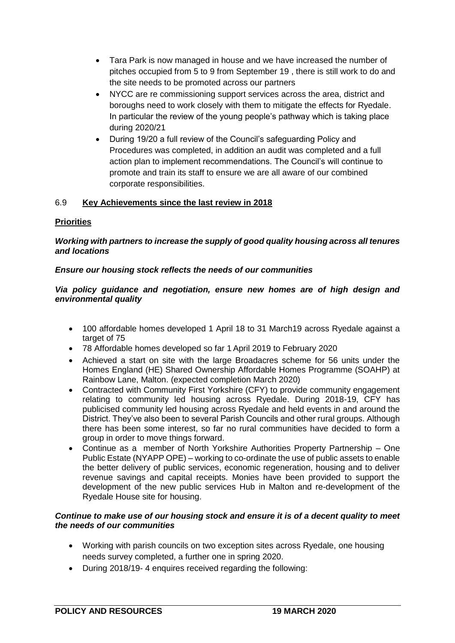- Tara Park is now managed in house and we have increased the number of pitches occupied from 5 to 9 from September 19 , there is still work to do and the site needs to be promoted across our partners
- NYCC are re commissioning support services across the area, district and boroughs need to work closely with them to mitigate the effects for Ryedale. In particular the review of the young people's pathway which is taking place during 2020/21
- During 19/20 a full review of the Council's safeguarding Policy and Procedures was completed, in addition an audit was completed and a full action plan to implement recommendations. The Council's will continue to promote and train its staff to ensure we are all aware of our combined corporate responsibilities.

# 6.9 **Key Achievements since the last review in 2018**

## **Priorities**

## *Working with partners to increase the supply of good quality housing across all tenures and locations*

## *Ensure our housing stock reflects the needs of our communities*

## *Via policy guidance and negotiation, ensure new homes are of high design and environmental quality*

- 100 affordable homes developed 1 April 18 to 31 March19 across Ryedale against a target of 75
- 78 Affordable homes developed so far 1 April 2019 to February 2020
- Achieved a start on site with the large Broadacres scheme for 56 units under the Homes England (HE) Shared Ownership Affordable Homes Programme (SOAHP) at Rainbow Lane, Malton. (expected completion March 2020)
- Contracted with Community First Yorkshire (CFY) to provide community engagement relating to community led housing across Ryedale. During 2018-19, CFY has publicised community led housing across Ryedale and held events in and around the District. They've also been to several Parish Councils and other rural groups. Although there has been some interest, so far no rural communities have decided to form a group in order to move things forward.
- Continue as a member of North Yorkshire Authorities Property Partnership One Public Estate (NYAPP OPE) – working to co-ordinate the use of public assets to enable the better delivery of public services, economic regeneration, housing and to deliver revenue savings and capital receipts. Monies have been provided to support the development of the new public services Hub in Malton and re-development of the Ryedale House site for housing.

## *Continue to make use of our housing stock and ensure it is of a decent quality to meet the needs of our communities*

- Working with parish councils on two exception sites across Ryedale, one housing needs survey completed, a further one in spring 2020.
- During 2018/19- 4 enquires received regarding the following: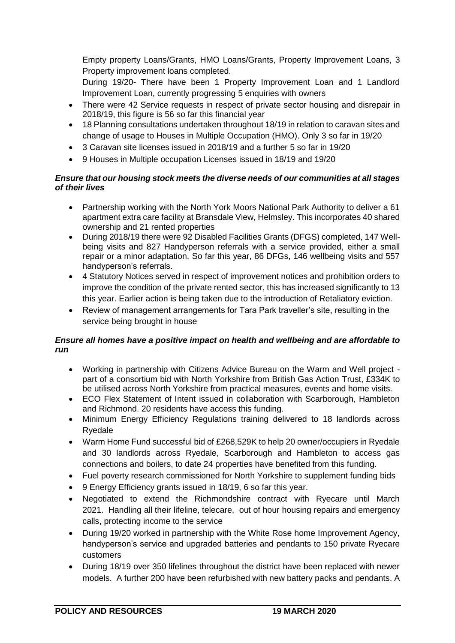Empty property Loans/Grants, HMO Loans/Grants, Property Improvement Loans, 3 Property improvement loans completed.

During 19/20- There have been 1 Property Improvement Loan and 1 Landlord Improvement Loan, currently progressing 5 enquiries with owners

- There were 42 Service requests in respect of private sector housing and disrepair in 2018/19, this figure is 56 so far this financial year
- 18 Planning consultations undertaken throughout 18/19 in relation to caravan sites and change of usage to Houses in Multiple Occupation (HMO). Only 3 so far in 19/20
- 3 Caravan site licenses issued in 2018/19 and a further 5 so far in 19/20
- 9 Houses in Multiple occupation Licenses issued in 18/19 and 19/20

## *Ensure that our housing stock meets the diverse needs of our communities at all stages of their lives*

- Partnership working with the North York Moors National Park Authority to deliver a 61 apartment extra care facility at Bransdale View, Helmsley. This incorporates 40 shared ownership and 21 rented properties
- During 2018/19 there were 92 Disabled Facilities Grants (DFGS) completed, 147 Wellbeing visits and 827 Handyperson referrals with a service provided, either a small repair or a minor adaptation. So far this year, 86 DFGs, 146 wellbeing visits and 557 handyperson's referrals.
- 4 Statutory Notices served in respect of improvement notices and prohibition orders to improve the condition of the private rented sector, this has increased significantly to 13 this year. Earlier action is being taken due to the introduction of Retaliatory eviction.
- Review of management arrangements for Tara Park traveller's site, resulting in the service being brought in house

# *Ensure all homes have a positive impact on health and wellbeing and are affordable to run*

- Working in partnership with Citizens Advice Bureau on the Warm and Well project part of a consortium bid with North Yorkshire from British Gas Action Trust, £334K to be utilised across North Yorkshire from practical measures, events and home visits.
- ECO Flex Statement of Intent issued in collaboration with Scarborough, Hambleton and Richmond. 20 residents have access this funding.
- Minimum Energy Efficiency Regulations training delivered to 18 landlords across Ryedale
- Warm Home Fund successful bid of £268,529K to help 20 owner/occupiers in Ryedale and 30 landlords across Ryedale, Scarborough and Hambleton to access gas connections and boilers, to date 24 properties have benefited from this funding.
- Fuel poverty research commissioned for North Yorkshire to supplement funding bids
- 9 Energy Efficiency grants issued in 18/19, 6 so far this year.
- Negotiated to extend the Richmondshire contract with Ryecare until March 2021. Handling all their lifeline, telecare, out of hour housing repairs and emergency calls, protecting income to the service
- During 19/20 worked in partnership with the White Rose home Improvement Agency, handyperson's service and upgraded batteries and pendants to 150 private Ryecare customers
- During 18/19 over 350 lifelines throughout the district have been replaced with newer models. A further 200 have been refurbished with new battery packs and pendants. A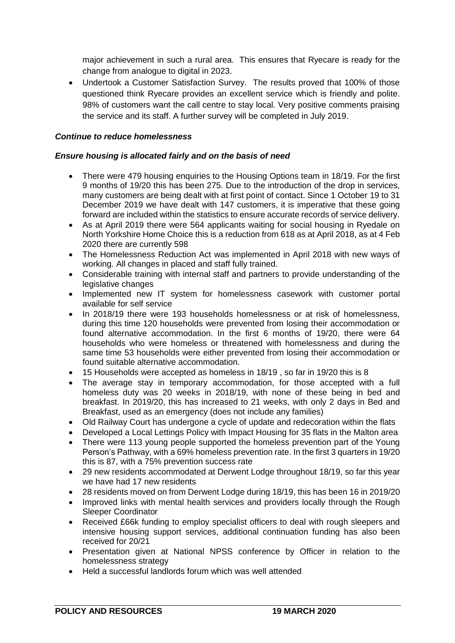major achievement in such a rural area. This ensures that Ryecare is ready for the change from analogue to digital in 2023.

 Undertook a Customer Satisfaction Survey. The results proved that 100% of those questioned think Ryecare provides an excellent service which is friendly and polite. 98% of customers want the call centre to stay local. Very positive comments praising the service and its staff. A further survey will be completed in July 2019.

## *Continue to reduce homelessness*

## *Ensure housing is allocated fairly and on the basis of need*

- There were 479 housing enquiries to the Housing Options team in 18/19. For the first 9 months of 19/20 this has been 275. Due to the introduction of the drop in services, many customers are being dealt with at first point of contact. Since 1 October 19 to 31 December 2019 we have dealt with 147 customers, it is imperative that these going forward are included within the statistics to ensure accurate records of service delivery.
- As at April 2019 there were 564 applicants waiting for social housing in Ryedale on North Yorkshire Home Choice this is a reduction from 618 as at April 2018, as at 4 Feb 2020 there are currently 598
- The Homelessness Reduction Act was implemented in April 2018 with new ways of working. All changes in placed and staff fully trained.
- Considerable training with internal staff and partners to provide understanding of the legislative changes
- Implemented new IT system for homelessness casework with customer portal available for self service
- In 2018/19 there were 193 households homelessness or at risk of homelessness, during this time 120 households were prevented from losing their accommodation or found alternative accommodation. In the first 6 months of 19/20, there were 64 households who were homeless or threatened with homelessness and during the same time 53 households were either prevented from losing their accommodation or found suitable alternative accommodation.
- 15 Households were accepted as homeless in 18/19 , so far in 19/20 this is 8
- The average stay in temporary accommodation, for those accepted with a full homeless duty was 20 weeks in 2018/19, with none of these being in bed and breakfast. In 2019/20, this has increased to 21 weeks, with only 2 days in Bed and Breakfast, used as an emergency (does not include any families)
- Old Railway Court has undergone a cycle of update and redecoration within the flats
- Developed a Local Lettings Policy with Impact Housing for 35 flats in the Malton area
- There were 113 young people supported the homeless prevention part of the Young Person's Pathway, with a 69% homeless prevention rate. In the first 3 quarters in 19/20 this is 87, with a 75% prevention success rate
- 29 new residents accommodated at Derwent Lodge throughout 18/19, so far this year we have had 17 new residents
- 28 residents moved on from Derwent Lodge during 18/19, this has been 16 in 2019/20
- Improved links with mental health services and providers locally through the Rough Sleeper Coordinator
- Received £66k funding to employ specialist officers to deal with rough sleepers and intensive housing support services, additional continuation funding has also been received for 20/21
- Presentation given at National NPSS conference by Officer in relation to the homelessness strategy
- Held a successful landlords forum which was well attended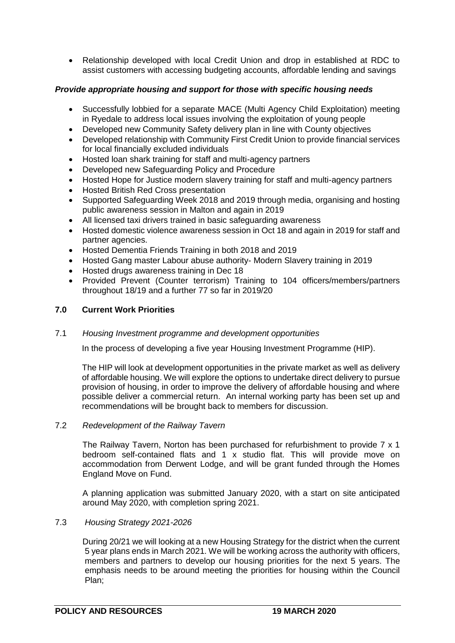Relationship developed with local Credit Union and drop in established at RDC to assist customers with accessing budgeting accounts, affordable lending and savings

## *Provide appropriate housing and support for those with specific housing needs*

- Successfully lobbied for a separate MACE (Multi Agency Child Exploitation) meeting in Ryedale to address local issues involving the exploitation of young people
- Developed new Community Safety delivery plan in line with County objectives
- Developed relationship with Community First Credit Union to provide financial services for local financially excluded individuals
- Hosted loan shark training for staff and multi-agency partners
- Developed new Safeguarding Policy and Procedure
- Hosted Hope for Justice modern slavery training for staff and multi-agency partners
- Hosted British Red Cross presentation
- Supported Safeguarding Week 2018 and 2019 through media, organising and hosting public awareness session in Malton and again in 2019
- All licensed taxi drivers trained in basic safeguarding awareness
- Hosted domestic violence awareness session in Oct 18 and again in 2019 for staff and partner agencies.
- Hosted Dementia Friends Training in both 2018 and 2019
- Hosted Gang master Labour abuse authority- Modern Slavery training in 2019
- Hosted drugs awareness training in Dec 18
- Provided Prevent (Counter terrorism) Training to 104 officers/members/partners throughout 18/19 and a further 77 so far in 2019/20

### **7.0 Current Work Priorities**

### 7.1 *Housing Investment programme and development opportunities*

In the process of developing a five year Housing Investment Programme (HIP).

The HIP will look at development opportunities in the private market as well as delivery of affordable housing. We will explore the options to undertake direct delivery to pursue provision of housing, in order to improve the delivery of affordable housing and where possible deliver a commercial return. An internal working party has been set up and recommendations will be brought back to members for discussion.

### 7.2 *Redevelopment of the Railway Tavern*

The Railway Tavern, Norton has been purchased for refurbishment to provide 7 x 1 bedroom self-contained flats and 1 x studio flat. This will provide move on accommodation from Derwent Lodge, and will be grant funded through the Homes England Move on Fund.

A planning application was submitted January 2020, with a start on site anticipated around May 2020, with completion spring 2021.

## 7.3 *Housing Strategy 2021-2026*

During 20/21 we will looking at a new Housing Strategy for the district when the current 5 year plans ends in March 2021. We will be working across the authority with officers, members and partners to develop our housing priorities for the next 5 years. The emphasis needs to be around meeting the priorities for housing within the Council Plan;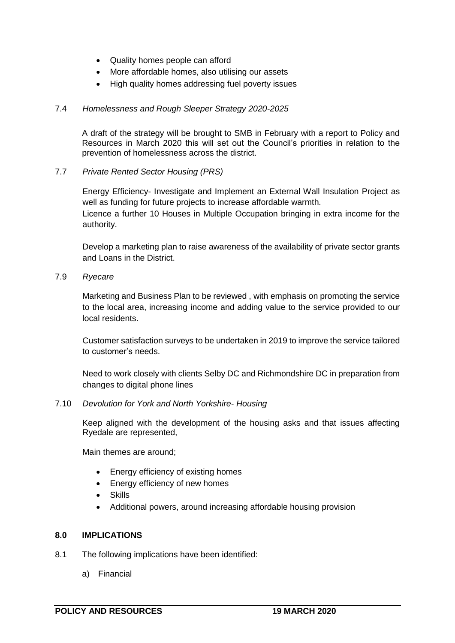- Quality homes people can afford
- More affordable homes, also utilising our assets
- High quality homes addressing fuel poverty issues

### 7.4 *Homelessness and Rough Sleeper Strategy 2020-2025*

A draft of the strategy will be brought to SMB in February with a report to Policy and Resources in March 2020 this will set out the Council's priorities in relation to the prevention of homelessness across the district.

7.7 *Private Rented Sector Housing (PRS)*

Energy Efficiency- Investigate and Implement an External Wall Insulation Project as well as funding for future projects to increase affordable warmth. Licence a further 10 Houses in Multiple Occupation bringing in extra income for the authority.

Develop a marketing plan to raise awareness of the availability of private sector grants and Loans in the District.

7.9 *Ryecare*

Marketing and Business Plan to be reviewed , with emphasis on promoting the service to the local area, increasing income and adding value to the service provided to our local residents.

Customer satisfaction surveys to be undertaken in 2019 to improve the service tailored to customer's needs.

Need to work closely with clients Selby DC and Richmondshire DC in preparation from changes to digital phone lines

#### 7.10 *Devolution for York and North Yorkshire- Housing*

Keep aligned with the development of the housing asks and that issues affecting Ryedale are represented,

Main themes are around;

- Energy efficiency of existing homes
- Energy efficiency of new homes
- Skills
- Additional powers, around increasing affordable housing provision

#### **8.0 IMPLICATIONS**

- 8.1 The following implications have been identified:
	- a) Financial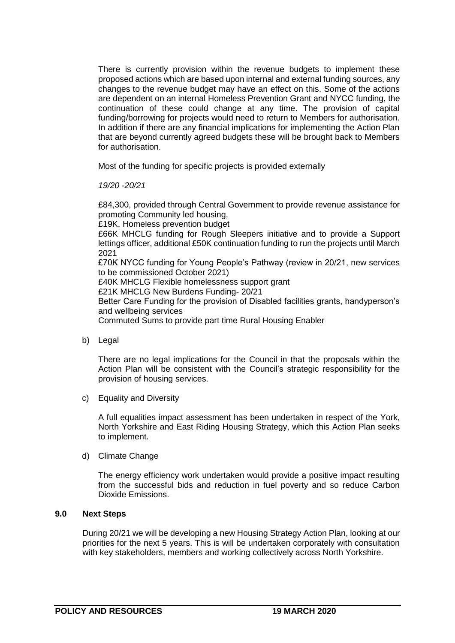There is currently provision within the revenue budgets to implement these proposed actions which are based upon internal and external funding sources, any changes to the revenue budget may have an effect on this. Some of the actions are dependent on an internal Homeless Prevention Grant and NYCC funding, the continuation of these could change at any time. The provision of capital funding/borrowing for projects would need to return to Members for authorisation. In addition if there are any financial implications for implementing the Action Plan that are beyond currently agreed budgets these will be brought back to Members for authorisation.

Most of the funding for specific projects is provided externally

*19/20 -20/21*

£84,300, provided through Central Government to provide revenue assistance for promoting Community led housing, £19K, Homeless prevention budget £66K MHCLG funding for Rough Sleepers initiative and to provide a Support lettings officer, additional £50K continuation funding to run the projects until March 2021 £70K NYCC funding for Young People's Pathway (review in 20/21, new services to be commissioned October 2021) £40K MHCLG Flexible homelessness support grant £21K MHCLG New Burdens Funding- 20/21 Better Care Funding for the provision of Disabled facilities grants, handyperson's and wellbeing services Commuted Sums to provide part time Rural Housing Enabler

b) Legal

There are no legal implications for the Council in that the proposals within the Action Plan will be consistent with the Council's strategic responsibility for the provision of housing services.

c) Equality and Diversity

A full equalities impact assessment has been undertaken in respect of the York, North Yorkshire and East Riding Housing Strategy, which this Action Plan seeks to implement.

d) Climate Change

The energy efficiency work undertaken would provide a positive impact resulting from the successful bids and reduction in fuel poverty and so reduce Carbon Dioxide Emissions.

## **9.0 Next Steps**

During 20/21 we will be developing a new Housing Strategy Action Plan, looking at our priorities for the next 5 years. This is will be undertaken corporately with consultation with key stakeholders, members and working collectively across North Yorkshire.